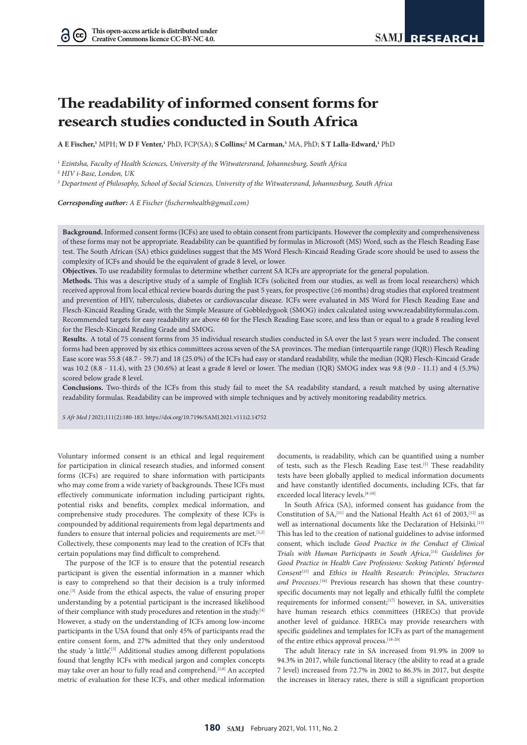# **The readability of informed consent forms for research studies conducted in South Africa**

 $A$  **E** Fischer,<sup>1</sup> MPH; W D F Venter,<sup>1</sup> PhD, FCP(SA); **S Collins;<sup>2</sup> M Carman,<sup>3</sup> MA, PhD; S T Lalla-Edward,<sup>1</sup> PhD** 

1  *Ezintsha, Faculty of Health Sciences, University of the Witwatersrand, Johannesburg, South Africa*

2  *HIV i-Base, London, UK*

 $(cc)$ 

3  *Department of Philosophy, School of Social Sciences, University of the Witwatersrand, Johannesburg, South Africa*

*Corresponding author: A E Fischer (fischermhealth@gmail.com)*

**Background.** Informed consent forms (ICFs) are used to obtain consent from participants. However the complexity and comprehensiveness of these forms may not be appropriate. Readability can be quantified by formulas in Microsoft (MS) Word, such as the Flesch Reading Ease test. The South African (SA) ethics guidelines suggest that the MS Word Flesch-Kincaid Reading Grade score should be used to assess the complexity of ICFs and should be the equivalent of grade 8 level, or lower.

**Objectives.** To use readability formulas to determine whether current SA ICFs are appropriate for the general population.

**Methods.** This was a descriptive study of a sample of English ICFs (solicited from our studies, as well as from local researchers) which received approval from local ethical review boards during the past 5 years, for prospective (≥6 months) drug studies that explored treatment and prevention of HIV, tuberculosis, diabetes or cardiovascular disease. ICFs were evaluated in MS Word for Flesch Reading Ease and Flesch-Kincaid Reading Grade, with the Simple Measure of Gobbledygook (SMOG) index calculated using www.readabilityformulas.com. Recommended targets for easy readability are above 60 for the Flesch Reading Ease score, and less than or equal to a grade 8 reading level for the Flesch-Kincaid Reading Grade and SMOG.

**Results.** A total of 75 consent forms from 35 individual research studies conducted in SA over the last 5 years were included. The consent forms had been approved by six ethics committees across seven of the SA provinces. The median (interquartile range (IQR)) Flesch Reading Ease score was 55.8 (48.7 - 59.7) and 18 (25.0%) of the ICFs had easy or standard readability, while the median (IQR) Flesch-Kincaid Grade was 10.2 (8.8 - 11.4), with 23 (30.6%) at least a grade 8 level or lower. The median (IQR) SMOG index was 9.8 (9.0 - 11.1) and 4 (5.3%) scored below grade 8 level.

**Conclusions.** Two-thirds of the ICFs from this study fail to meet the SA readability standard, a result matched by using alternative readability formulas. Readability can be improved with simple techniques and by actively monitoring readability metrics.

*S Afr Med J* 2021;111(2):180-183. https://doi.org/10.7196/SAMJ.2021.v111i2.14752

Voluntary informed consent is an ethical and legal requirement for participation in clinical research studies, and informed consent forms (ICFs) are required to share information with participants who may come from a wide variety of backgrounds. These ICFs must effectively communicate information including participant rights, potential risks and benefits, complex medical information, and comprehensive study procedures. The complexity of these ICFs is compounded by additional requirements from legal departments and funders to ensure that internal policies and requirements are met.<sup>[1,2]</sup> Collectively, these components may lead to the creation of ICFs that certain populations may find difficult to comprehend.

The purpose of the ICF is to ensure that the potential research participant is given the essential information in a manner which is easy to comprehend so that their decision is a truly informed one.[3] Aside from the ethical aspects, the value of ensuring proper understanding by a potential participant is the increased likelihood of their compliance with study procedures and retention in the study. $^{[4]}$ However, a study on the understanding of ICFs among low-income participants in the USA found that only 45% of participants read the entire consent form, and 27% admitted that they only understood the study 'a little'.<sup>[5]</sup> Additional studies among different populations found that lengthy ICFs with medical jargon and complex concepts may take over an hour to fully read and comprehend.<sup>[1,6]</sup> An accepted metric of evaluation for these ICFs, and other medical information

documents, is readability, which can be quantified using a number of tests, such as the Flesch Reading Ease test.<sup>[5]</sup> These readability tests have been globally applied to medical information documents and have constantly identified documents, including ICFs, that far exceeded local literacy levels.[8-10]

In South Africa (SA), informed consent has guidance from the Constitution of  $SA<sub>2</sub><sup>[11]</sup>$  and the National Health Act 61 of 2003,<sup>[12]</sup> as well as international documents like the Declaration of Helsinki.[13] This has led to the creation of national guidelines to advise informed consent, which include *Good Practice in the Conduct of Clinical Trials with Human Participants in South Africa*, [14] *Guidelines for Good Practice in Health Care Professions: Seeking Patients' Informed Consent*[15] and *Ethics in Health Research: Principles, Structures*  and Processes.<sup>[16]</sup> Previous research has shown that these countryspecific documents may not legally and ethically fulfil the complete requirements for informed consent;[17] however, in SA, universities have human research ethics committees (HRECs) that provide another level of guidance. HRECs may provide researchers with specific guidelines and templates for ICFs as part of the management of the entire ethics approval process.<sup>[18-20]</sup>

The adult literacy rate in SA increased from 91.9% in 2009 to 94.3% in 2017, while functional literacy (the ability to read at a grade 7 level) increased from 72.7% in 2002 to 86.3% in 2017, but despite the increases in literacy rates, there is still a significant proportion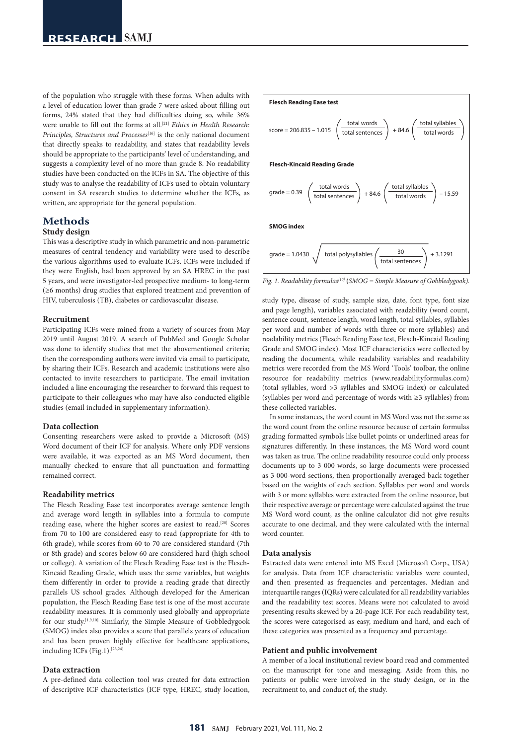of the population who struggle with these forms. When adults with a level of education lower than grade 7 were asked about filling out forms, 24% stated that they had difficulties doing so, while 36% were unable to fill out the forms at all.<sup>[21]</sup> *Ethics in Health Research: Principles, Structures and Processes*<sup>[16]</sup> is the only national document that directly speaks to readability, and states that readability levels should be appropriate to the participants' level of understanding, and suggests a complexity level of no more than grade 8. No readability studies have been conducted on the ICFs in SA. The objective of this study was to analyse the readability of ICFs used to obtain voluntary consent in SA research studies to determine whether the ICFs, as written, are appropriate for the general population.

# **Methods**

### **Study design**

This was a descriptive study in which parametric and non-parametric measures of central tendency and variability were used to describe the various algorithms used to evaluate ICFs. ICFs were included if they were English, had been approved by an SA HREC in the past 5 years, and were investigator-led prospective medium- to long-term (≥6 months) drug studies that explored treatment and prevention of HIV, tuberculosis (TB), diabetes or cardiovascular disease.

### **Recruitment**

Participating ICFs were mined from a variety of sources from May 2019 until August 2019. A search of PubMed and Google Scholar was done to identify studies that met the abovementioned criteria; then the corresponding authors were invited via email to participate, by sharing their ICFs. Research and academic institutions were also contacted to invite researchers to participate. The email invitation included a line encouraging the researcher to forward this request to participate to their colleagues who may have also conducted eligible studies (email included in supplementary information).

### **Data collection**

Consenting researchers were asked to provide a Microsoft (MS) Word document of their ICF for analysis. Where only PDF versions were available, it was exported as an MS Word document, then manually checked to ensure that all punctuation and formatting remained correct.

### **Readability metrics**

The Flesch Reading Ease test incorporates average sentence length and average word length in syllables into a formula to compute reading ease, where the higher scores are easiest to read.[20] Scores from 70 to 100 are considered easy to read (appropriate for 4th to 6th grade), while scores from 60 to 70 are considered standard (7th or 8th grade) and scores below 60 are considered hard (high school or college). A variation of the Flesch Reading Ease test is the Flesch-Kincaid Reading Grade, which uses the same variables, but weights them differently in order to provide a reading grade that directly parallels US school grades. Although developed for the American population, the Flesch Reading Ease test is one of the most accurate readability measures. It is commonly used globally and appropriate for our study.[1,9,10] Similarly, the Simple Measure of Gobbledygook (SMOG) index also provides a score that parallels years of education and has been proven highly effective for healthcare applications, including ICFs (Fig.1).[23,24]

### **Data extraction**

A pre-defined data collection tool was created for data extraction of descriptive ICF characteristics (ICF type, HREC, study location,



*Fig. 1. Readability formulas<sup>[10]</sup>* (*SMOG* = *Simple Measure of Gobbledygook*).

study type, disease of study, sample size, date, font type, font size and page length), variables associated with readability (word count, sentence count, sentence length, word length, total syllables, syllables per word and number of words with three or more syllables) and readability metrics (Flesch Reading Ease test, Flesch-Kincaid Reading Grade and SMOG index). Most ICF characteristics were collected by reading the documents, while readability variables and readability metrics were recorded from the MS Word 'Tools' toolbar, the online resource for readability metrics (www.readabilityformulas.com) (total syllables, word >3 syllables and SMOG index) or calculated (syllables per word and percentage of words with ≥3 syllables) from these collected variables.

In some instances, the word count in MS Word was not the same as the word count from the online resource because of certain formulas grading formatted symbols like bullet points or underlined areas for signatures differently. In these instances, the MS Word word count was taken as true. The online readability resource could only process documents up to 3 000 words, so large documents were processed as 3 000-word sections, then proportionally averaged back together based on the weights of each section. Syllables per word and words with 3 or more syllables were extracted from the online resource, but their respective average or percentage were calculated against the true MS Word word count, as the online calculator did not give results accurate to one decimal, and they were calculated with the internal word counter.

### **Data analysis**

Extracted data were entered into MS Excel (Microsoft Corp., USA) for analysis. Data from ICF characteristic variables were counted, and then presented as frequencies and percentages. Median and interquartile ranges (IQRs) were calculated for all readability variables and the readability test scores. Means were not calculated to avoid presenting results skewed by a 20-page ICF. For each readability test, the scores were categorised as easy, medium and hard, and each of these categories was presented as a frequency and percentage.

### **Patient and public involvement**

A member of a local institutional review board read and commented on the manuscript for tone and messaging. Aside from this, no patients or public were involved in the study design, or in the recruitment to, and conduct of, the study.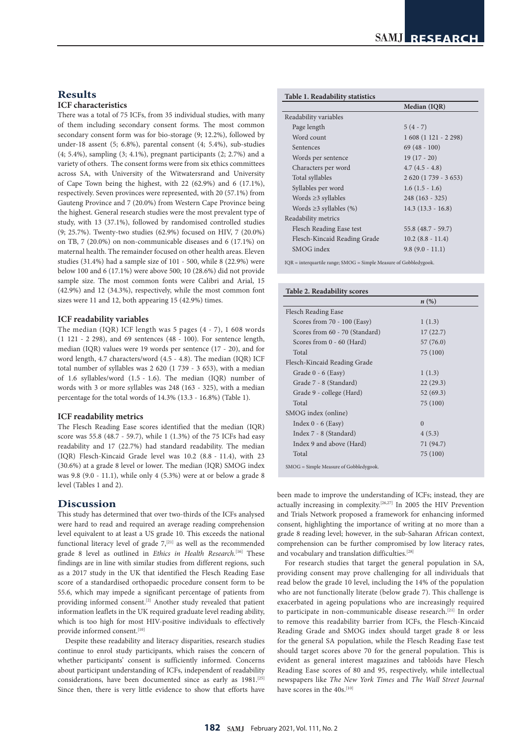# **Results**

# **ICF characteristics**

There was a total of 75 ICFs, from 35 individual studies, with many of them including secondary consent forms. The most common secondary consent form was for bio-storage (9; 12.2%), followed by under-18 assent (5; 6.8%), parental consent (4; 5.4%), sub-studies (4; 5.4%), sampling (3; 4.1%), pregnant participants (2; 2.7%) and a variety of others. The consent forms were from six ethics committees across SA, with University of the Witwatersrand and University of Cape Town being the highest, with 22 (62.9%) and 6 (17.1%), respectively. Seven provinces were represented, with 20 (57.1%) from Gauteng Province and 7 (20.0%) from Western Cape Province being the highest. General research studies were the most prevalent type of study, with 13 (37.1%), followed by randomised controlled studies (9; 25.7%). Twenty-two studies (62.9%) focused on HIV, 7 (20.0%) on TB, 7 (20.0%) on non-communicable diseases and 6 (17.1%) on maternal health. The remainder focused on other health areas. Eleven studies (31.4%) had a sample size of 101 - 500, while 8 (22.9%) were below 100 and 6 (17.1%) were above 500; 10 (28.6%) did not provide sample size. The most common fonts were Calibri and Arial, 15 (42.9%) and 12 (34.3%), respectively, while the most common font sizes were 11 and 12, both appearing 15 (42.9%) times.

### **ICF readability variables**

The median (IQR) ICF length was 5 pages (4 - 7), 1 608 words (1 121 - 2 298), and 69 sentences (48 - 100). For sentence length, median (IQR) values were 19 words per sentence (17 - 20), and for word length, 4.7 characters/word (4.5 - 4.8). The median (IQR) ICF total number of syllables was 2 620 (1 739 - 3 653), with a median of 1.6 syllables/word (1.5 - 1.6). The median (IQR) number of words with 3 or more syllables was 248 (163 - 325), with a median percentage for the total words of 14.3% (13.3 - 16.8%) (Table 1).

### **ICF readability metrics**

The Flesch Reading Ease scores identified that the median (IQR) score was 55.8 (48.7 - 59.7), while 1 (1.3%) of the 75 ICFs had easy readability and 17 (22.7%) had standard readability. The median (IQR) Flesch-Kincaid Grade level was 10.2 (8.8 - 11.4), with 23 (30.6%) at a grade 8 level or lower. The median (IQR) SMOG index was 9.8 (9.0 - 11.1), while only 4 (5.3%) were at or below a grade 8 level (Tables 1 and 2).

# **Discussion**

This study has determined that over two-thirds of the ICFs analysed were hard to read and required an average reading comprehension level equivalent to at least a US grade 10. This exceeds the national functional literacy level of grade  $7,$ <sup>[21]</sup> as well as the recommended grade 8 level as outlined in *Ethics in Health Research*.<sup>[16]</sup> These findings are in line with similar studies from different regions, such as a 2017 study in the UK that identified the Flesch Reading Ease score of a standardised orthopaedic procedure consent form to be 55.6, which may impede a significant percentage of patients from providing informed consent.[2] Another study revealed that patient information leaflets in the UK required graduate level reading ability, which is too high for most HIV-positive individuals to effectively provide informed consent.[10]

Despite these readability and literacy disparities, research studies continue to enrol study participants, which raises the concern of whether participants' consent is sufficiently informed. Concerns about participant understanding of ICFs, independent of readability considerations, have been documented since as early as 1981.<sup>[25]</sup> Since then, there is very little evidence to show that efforts have

| Median (IQR)        |
|---------------------|
|                     |
| $5(4-7)$            |
| $1608(1121 - 2298)$ |
| $69(48-100)$        |
| $19(17-20)$         |
| $4.7(4.5 - 4.8)$    |
| $2620(1739 - 3653)$ |
| $1.6(1.5 - 1.6)$    |
| $248(163 - 325)$    |
| $14.3(13.3 - 16.8)$ |
|                     |
| $55.8(48.7 - 59.7)$ |
| $10.2 (8.8 - 11.4)$ |
| $9.8(9.0 - 11.1)$   |
|                     |

 $IOR =$  interquartile range;  $SMOG =$  Simple Measure of Gobbledygook.

## **Table 2. Readability scores**

|                                        | $n\left(\%\right)$ |
|----------------------------------------|--------------------|
| Flesch Reading Ease                    |                    |
| Scores from 70 - 100 (Easy)            | 1(1.3)             |
| Scores from 60 - 70 (Standard)         | 17(22.7)           |
| Scores from 0 - 60 (Hard)              | 57 (76.0)          |
| Total                                  | 75 (100)           |
| Flesch-Kincaid Reading Grade           |                    |
| Grade 0 - 6 (Easy)                     | 1(1.3)             |
| Grade 7 - 8 (Standard)                 | 22(29.3)           |
| Grade 9 - college (Hard)               | 52(69.3)           |
| Total                                  | 75 (100)           |
| SMOG index (online)                    |                    |
| Index $0 - 6$ (Easy)                   | $\Omega$           |
| Index 7 - 8 (Standard)                 | 4(5.3)             |
| Index 9 and above (Hard)               | 71 (94.7)          |
| Total                                  | 75 (100)           |
| SMOG = Simple Measure of Gobbledygook. |                    |

been made to improve the understanding of ICFs; instead, they are actually increasing in complexity.[26,27] In 2005 the HIV Prevention and Trials Network proposed a framework for enhancing informed consent, highlighting the importance of writing at no more than a grade 8 reading level; however, in the sub-Saharan African context, comprehension can be further compromised by low literacy rates, and vocabulary and translation difficulties.[28]

For research studies that target the general population in SA, providing consent may prove challenging for all individuals that read below the grade 10 level, including the 14% of the population who are not functionally literate (below grade 7). This challenge is exacerbated in ageing populations who are increasingly required to participate in non-communicable disease research.[21] In order to remove this readability barrier from ICFs, the Flesch-Kincaid Reading Grade and SMOG index should target grade 8 or less for the general SA population, while the Flesch Reading Ease test should target scores above 70 for the general population. This is evident as general interest magazines and tabloids have Flesch Reading Ease scores of 80 and 95, respectively, while intellectual newspapers like *The New York Times* and *The Wall Street Journal* have scores in the 40s.<sup>[10]</sup>